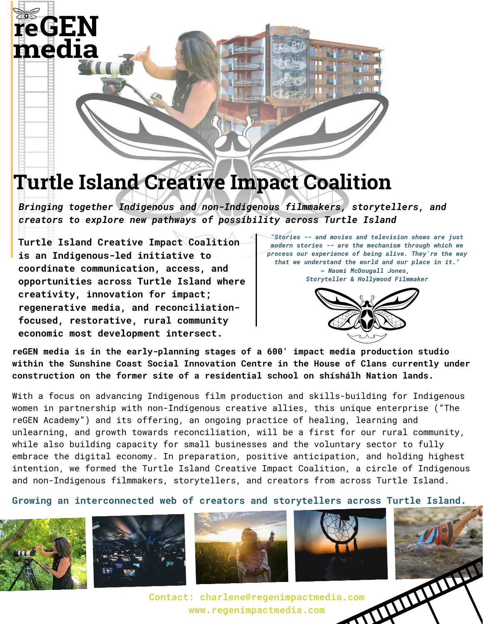# **reGEN** media

## **Turtle Island Creative Impact Coalition**

*Bringing together Indigenous and non-Indigenous filmmakers, storytellers, and creators to explore new pathways of possibility across Turtle Island*

**Turtle Island Creative Impact Coalition is an Indigenous-led initiative to coordinate communication, access, and opportunities across Turtle Island where creativity, innovation for impact; regenerative media, and reconciliationfocused, restorative, rural community economic most development intersect.**

*"Stories -- and movies and television shows are just modern stories -- are the mechanism through which we process our experience of being alive. They're the way that we understand the world and our place in it." ~ Naomi McDougall Jones, Storyteller & Hollywood Filmmaker*



**reGEN media is in the early-planning stages of a 600' impact media production studio within the Sunshine Coast Social Innovation Centre in the House of Clans currently under construction on the former site of a residential school on shíshálh Nation lands.** 

With a focus on advancing Indigenous film production and skills-building for Indigenous women in partnership with non-Indigenous creative allies, this unique enterprise ("The reGEN Academy") and its offering, an ongoing practice of healing, learning and unlearning, and growth towards reconciliation, will be a first for our rural community, while also building capacity for small businesses and the voluntary sector to fully embrace the digital economy. In preparation, positive anticipation, and holding highest intention, we formed the Turtle Island Creative Impact Coalition, a circle of Indigenous and non-Indigenous filmmakers, storytellers, and creators from across Turtle Island.

**Growing an interconnected web of creators and storytellers across Turtle Island.**









**Contact: charlene@regenimpactmedia.com www.regenimpactmedia.com**